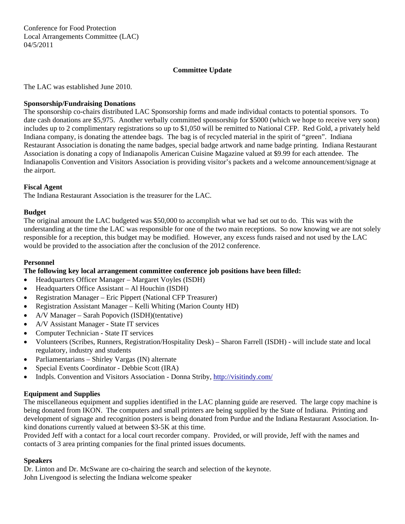Conference for Food Protection Local Arrangements Committee (LAC) 04/5/2011

# **Committee Update**

The LAC was established June 2010.

## **Sponsorship/Fundraising Donations**

The sponsorship co-chairs distributed LAC Sponsorship forms and made individual contacts to potential sponsors. To date cash donations are \$5,975. Another verbally committed sponsorship for \$5000 (which we hope to receive very soon) includes up to 2 complimentary registrations so up to \$1,050 will be remitted to National CFP. Red Gold, a privately held Indiana company, is donating the attendee bags. The bag is of recycled material in the spirit of "green". Indiana Restaurant Association is donating the name badges, special badge artwork and name badge printing. Indiana Restaurant Association is donating a copy of Indianapolis American Cuisine Magazine valued at \$9.99 for each attendee. The Indianapolis Convention and Visitors Association is providing visitor's packets and a welcome announcement/signage at the airport.

### **Fiscal Agent**

The Indiana Restaurant Association is the treasurer for the LAC.

### **Budget**

The original amount the LAC budgeted was \$50,000 to accomplish what we had set out to do. This was with the understanding at the time the LAC was responsible for one of the two main receptions. So now knowing we are not solely responsible for a reception, this budget may be modified. However, any excess funds raised and not used by the LAC would be provided to the association after the conclusion of the 2012 conference.

#### **Personnel**

## **The following key local arrangement committee conference job positions have been filled:**

- Headquarters Officer Manager Margaret Voyles (ISDH)
- Headquarters Office Assistant Al Houchin (ISDH)
- Registration Manager Eric Pippert (National CFP Treasurer)
- Registration Assistant Manager Kelli Whiting (Marion County HD)
- A/V Manager Sarah Popovich (ISDH)(tentative)
- A/V Assistant Manager State IT services
- Computer Technician State IT services
- Volunteers (Scribes, Runners, Registration/Hospitality Desk) Sharon Farrell (ISDH) will include state and local regulatory, industry and students
- Parliamentarians Shirley Vargas (IN) alternate
- Special Events Coordinator Debbie Scott (IRA)
- Indpls. Convention and Visitors Association Donna Striby, <http://visitindy.com/>

## **Equipment and Supplies**

The miscellaneous equipment and supplies identified in the LAC planning guide are reserved. The large copy machine is being donated from IKON. The computers and small printers are being supplied by the State of Indiana. Printing and development of signage and recognition posters is being donated from Purdue and the Indiana Restaurant Association. Inkind donations currently valued at between \$3-5K at this time.

Provided Jeff with a contact for a local court recorder company. Provided, or will provide, Jeff with the names and contacts of 3 area printing companies for the final printed issues documents.

#### **Speakers**

Dr. Linton and Dr. McSwane are co-chairing the search and selection of the keynote. John Livengood is selecting the Indiana welcome speaker